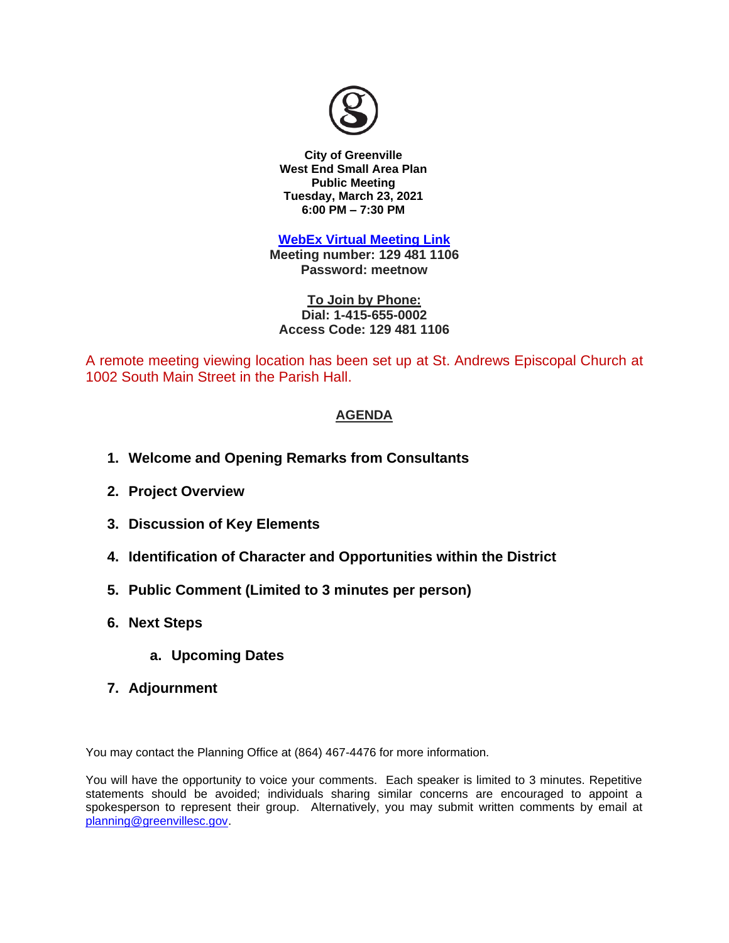

**City of Greenville West End Small Area Plan Public Meeting Tuesday, March 23, 2021 6:00 PM – 7:30 PM**

**[WebEx Virtual Meeting Link](https://cityofgreenville.webex.com/cityofgreenville/onstage/g.php?MTID=e7e558de194c66f5d5b6ac890ab536ed6) Meeting number: 129 481 1106**

**Password: meetnow**

**To Join by Phone: Dial: 1-415-655-0002 Access Code: 129 481 1106**

A remote meeting viewing location has been set up at St. Andrews Episcopal Church at 1002 South Main Street in the Parish Hall.

## **AGENDA**

- **1. Welcome and Opening Remarks from Consultants**
- **2. Project Overview**
- **3. Discussion of Key Elements**
- **4. Identification of Character and Opportunities within the District**
- **5. Public Comment (Limited to 3 minutes per person)**
- **6. Next Steps**
	- **a. Upcoming Dates**
- **7. Adjournment**

You may contact the Planning Office at (864) 467-4476 for more information.

You will have the opportunity to voice your comments. Each speaker is limited to 3 minutes. Repetitive statements should be avoided; individuals sharing similar concerns are encouraged to appoint a spokesperson to represent their group. Alternatively, you may submit written comments by email at [planning@greenvillesc.gov.](mailto:planning@greenvillesc.gov)